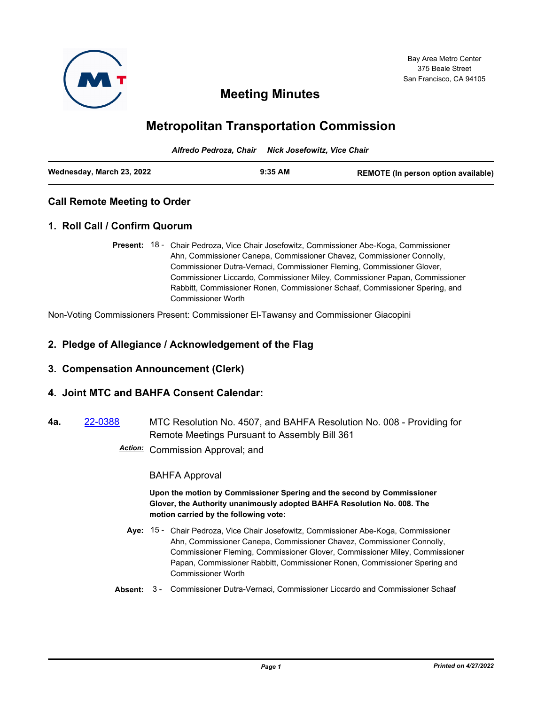

# **Meeting Minutes**

# **Metropolitan Transportation Commission**

*Alfredo Pedroza, Chair Nick Josefowitz, Vice Chair*

| Wednesday, March 23, 2022 | $9:35$ AM | REMOTE (In person option available) |
|---------------------------|-----------|-------------------------------------|
|                           |           |                                     |

# **Call Remote Meeting to Order**

## **1. Roll Call / Confirm Quorum**

Present: 18 - Chair Pedroza, Vice Chair Josefowitz, Commissioner Abe-Koga, Commissioner Ahn, Commissioner Canepa, Commissioner Chavez, Commissioner Connolly, Commissioner Dutra-Vernaci, Commissioner Fleming, Commissioner Glover, Commissioner Liccardo, Commissioner Miley, Commissioner Papan, Commissioner Rabbitt, Commissioner Ronen, Commissioner Schaaf, Commissioner Spering, and Commissioner Worth

Non-Voting Commissioners Present: Commissioner El-Tawansy and Commissioner Giacopini

# **2. Pledge of Allegiance / Acknowledgement of the Flag**

# **3. Compensation Announcement (Clerk)**

# **4. Joint MTC and BAHFA Consent Calendar:**

- **4a.** [22-0388](http://mtc.legistar.com/gateway.aspx?m=l&id=/matter.aspx?key=23647) MTC Resolution No. 4507, and BAHFA Resolution No. 008 Providing for Remote Meetings Pursuant to Assembly Bill 361
	- *Action:* Commission Approval; and

#### BAHFA Approval

#### **Upon the motion by Commissioner Spering and the second by Commissioner Glover, the Authority unanimously adopted BAHFA Resolution No. 008. The motion carried by the following vote:**

- Aye: 15 Chair Pedroza, Vice Chair Josefowitz, Commissioner Abe-Koga, Commissioner Ahn, Commissioner Canepa, Commissioner Chavez, Commissioner Connolly, Commissioner Fleming, Commissioner Glover, Commissioner Miley, Commissioner Papan, Commissioner Rabbitt, Commissioner Ronen, Commissioner Spering and Commissioner Worth
- **Absent:** 3 Commissioner Dutra-Vernaci, Commissioner Liccardo and Commissioner Schaaf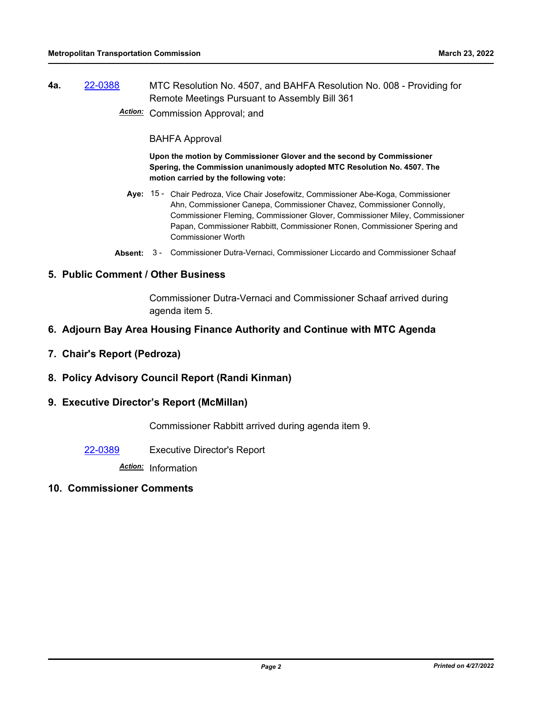**4a.** [22-0388](http://mtc.legistar.com/gateway.aspx?m=l&id=/matter.aspx?key=23647) MTC Resolution No. 4507, and BAHFA Resolution No. 008 - Providing for Remote Meetings Pursuant to Assembly Bill 361

*Action:* Commission Approval; and

#### BAHFA Approval

**Upon the motion by Commissioner Glover and the second by Commissioner Spering, the Commission unanimously adopted MTC Resolution No. 4507. The motion carried by the following vote:**

- Aye: 15 Chair Pedroza, Vice Chair Josefowitz, Commissioner Abe-Koga, Commissioner Ahn, Commissioner Canepa, Commissioner Chavez, Commissioner Connolly, Commissioner Fleming, Commissioner Glover, Commissioner Miley, Commissioner Papan, Commissioner Rabbitt, Commissioner Ronen, Commissioner Spering and Commissioner Worth
- **Absent:** 3 Commissioner Dutra-Vernaci, Commissioner Liccardo and Commissioner Schaaf

# **5. Public Comment / Other Business**

Commissioner Dutra-Vernaci and Commissioner Schaaf arrived during agenda item 5.

## **6. Adjourn Bay Area Housing Finance Authority and Continue with MTC Agenda**

- **7. Chair's Report (Pedroza)**
- **8. Policy Advisory Council Report (Randi Kinman)**

#### **9. Executive Director's Report (McMillan)**

Commissioner Rabbitt arrived during agenda item 9.

[22-0389](http://mtc.legistar.com/gateway.aspx?m=l&id=/matter.aspx?key=23648) Executive Director's Report

*Action:* Information

#### **10. Commissioner Comments**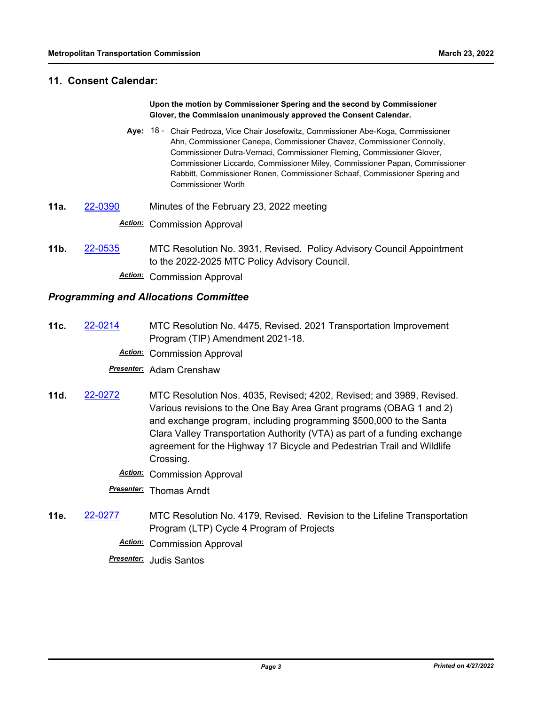### **11. Consent Calendar:**

#### **Upon the motion by Commissioner Spering and the second by Commissioner Glover, the Commission unanimously approved the Consent Calendar.**

- Aye: 18 Chair Pedroza, Vice Chair Josefowitz, Commissioner Abe-Koga, Commissioner Ahn, Commissioner Canepa, Commissioner Chavez, Commissioner Connolly, Commissioner Dutra-Vernaci, Commissioner Fleming, Commissioner Glover, Commissioner Liccardo, Commissioner Miley, Commissioner Papan, Commissioner Rabbitt, Commissioner Ronen, Commissioner Schaaf, Commissioner Spering and Commissioner Worth
- **11a.** [22-0390](http://mtc.legistar.com/gateway.aspx?m=l&id=/matter.aspx?key=23649) Minutes of the February 23, 2022 meeting *Action:* Commission Approval
- **11b.** [22-0535](http://mtc.legistar.com/gateway.aspx?m=l&id=/matter.aspx?key=23794) MTC Resolution No. 3931, Revised. Policy Advisory Council Appointment to the 2022-2025 MTC Policy Advisory Council.

*Action:* Commission Approval

## *Programming and Allocations Committee*

**11c.** [22-0214](http://mtc.legistar.com/gateway.aspx?m=l&id=/matter.aspx?key=23473) MTC Resolution No. 4475, Revised. 2021 Transportation Improvement Program (TIP) Amendment 2021-18.

*Action:* Commission Approval

*Presenter:* Adam Crenshaw

- **11d.** [22-0272](http://mtc.legistar.com/gateway.aspx?m=l&id=/matter.aspx?key=23531) MTC Resolution Nos. 4035, Revised; 4202, Revised; and 3989, Revised. Various revisions to the One Bay Area Grant programs (OBAG 1 and 2) and exchange program, including programming \$500,000 to the Santa Clara Valley Transportation Authority (VTA) as part of a funding exchange agreement for the Highway 17 Bicycle and Pedestrian Trail and Wildlife Crossing.
	- *Action:* Commission Approval
	- *Presenter:* Thomas Arndt
- **11e.** [22-0277](http://mtc.legistar.com/gateway.aspx?m=l&id=/matter.aspx?key=23536) MTC Resolution No. 4179, Revised. Revision to the Lifeline Transportation Program (LTP) Cycle 4 Program of Projects

*Action:* Commission Approval

*Presenter:* Judis Santos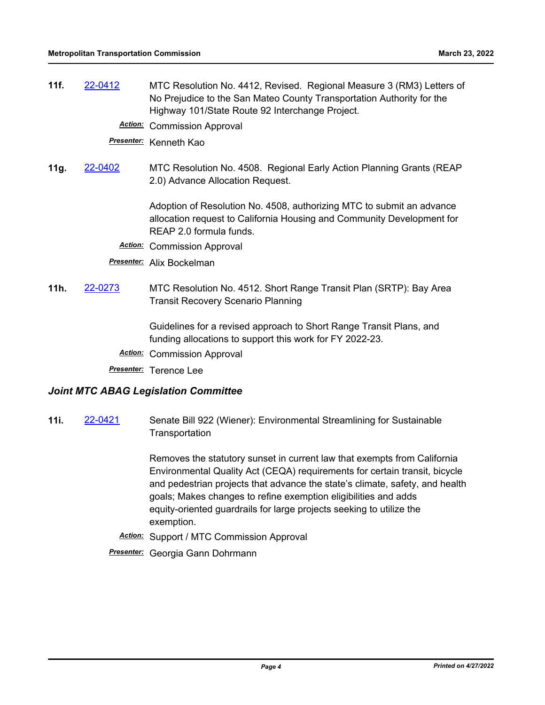**11f.** [22-0412](http://mtc.legistar.com/gateway.aspx?m=l&id=/matter.aspx?key=23671) MTC Resolution No. 4412, Revised. Regional Measure 3 (RM3) Letters of No Prejudice to the San Mateo County Transportation Authority for the Highway 101/State Route 92 Interchange Project.

*Action:* Commission Approval

*Presenter:* Kenneth Kao

**11g.** [22-0402](http://mtc.legistar.com/gateway.aspx?m=l&id=/matter.aspx?key=23661) MTC Resolution No. 4508. Regional Early Action Planning Grants (REAP 2.0) Advance Allocation Request.

> Adoption of Resolution No. 4508, authorizing MTC to submit an advance allocation request to California Housing and Community Development for REAP 2.0 formula funds.

*Action:* Commission Approval

*Presenter:* Alix Bockelman

**11h.** [22-0273](http://mtc.legistar.com/gateway.aspx?m=l&id=/matter.aspx?key=23532) MTC Resolution No. 4512. Short Range Transit Plan (SRTP): Bay Area Transit Recovery Scenario Planning

> Guidelines for a revised approach to Short Range Transit Plans, and funding allocations to support this work for FY 2022-23.

*Action:* Commission Approval

*Presenter:* Terence Lee

#### *Joint MTC ABAG Legislation Committee*

**11i.** [22-0421](http://mtc.legistar.com/gateway.aspx?m=l&id=/matter.aspx?key=23680) Senate Bill 922 (Wiener): Environmental Streamlining for Sustainable **Transportation** 

> Removes the statutory sunset in current law that exempts from California Environmental Quality Act (CEQA) requirements for certain transit, bicycle and pedestrian projects that advance the state's climate, safety, and health goals; Makes changes to refine exemption eligibilities and adds equity-oriented guardrails for large projects seeking to utilize the exemption.

- *Action:* Support / MTC Commission Approval
- *Presenter:* Georgia Gann Dohrmann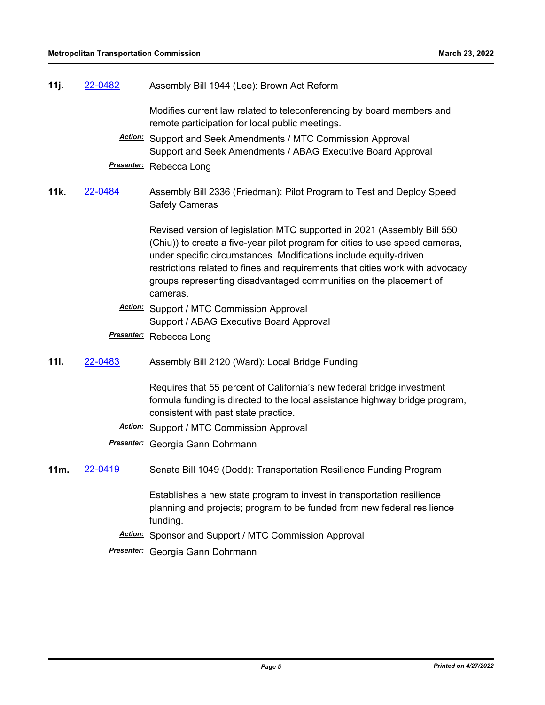| 11j.        | 22-0482        | Assembly Bill 1944 (Lee): Brown Act Reform                                                                                                                                                                                                                                                                                                                                                     |
|-------------|----------------|------------------------------------------------------------------------------------------------------------------------------------------------------------------------------------------------------------------------------------------------------------------------------------------------------------------------------------------------------------------------------------------------|
|             |                | Modifies current law related to teleconferencing by board members and<br>remote participation for local public meetings.                                                                                                                                                                                                                                                                       |
|             |                | <b>Action:</b> Support and Seek Amendments / MTC Commission Approval<br>Support and Seek Amendments / ABAG Executive Board Approval                                                                                                                                                                                                                                                            |
|             |                | Presenter: Rebecca Long                                                                                                                                                                                                                                                                                                                                                                        |
| 11k.        | 22-0484        | Assembly Bill 2336 (Friedman): Pilot Program to Test and Deploy Speed<br><b>Safety Cameras</b>                                                                                                                                                                                                                                                                                                 |
|             |                | Revised version of legislation MTC supported in 2021 (Assembly Bill 550<br>(Chiu)) to create a five-year pilot program for cities to use speed cameras,<br>under specific circumstances. Modifications include equity-driven<br>restrictions related to fines and requirements that cities work with advocacy<br>groups representing disadvantaged communities on the placement of<br>cameras. |
|             |                | <b>Action:</b> Support / MTC Commission Approval<br>Support / ABAG Executive Board Approval                                                                                                                                                                                                                                                                                                    |
|             |                | <b>Presenter:</b> Rebecca Long                                                                                                                                                                                                                                                                                                                                                                 |
| <b>11l.</b> | 22-0483        | Assembly Bill 2120 (Ward): Local Bridge Funding                                                                                                                                                                                                                                                                                                                                                |
|             |                | Requires that 55 percent of California's new federal bridge investment<br>formula funding is directed to the local assistance highway bridge program,<br>consistent with past state practice.                                                                                                                                                                                                  |
|             |                | <b>Action:</b> Support / MTC Commission Approval                                                                                                                                                                                                                                                                                                                                               |
|             |                | Presenter: Georgia Gann Dohrmann                                                                                                                                                                                                                                                                                                                                                               |
| 11m.        | <u>22-0419</u> | Senate Bill 1049 (Dodd): Transportation Resilience Funding Program                                                                                                                                                                                                                                                                                                                             |
|             |                | Establishes a new state program to invest in transportation resilience<br>planning and projects; program to be funded from new federal resilience<br>funding.                                                                                                                                                                                                                                  |
|             |                | Action: Sponsor and Support / MTC Commission Approval                                                                                                                                                                                                                                                                                                                                          |
|             |                | Presenter: Georgia Gann Dohrmann                                                                                                                                                                                                                                                                                                                                                               |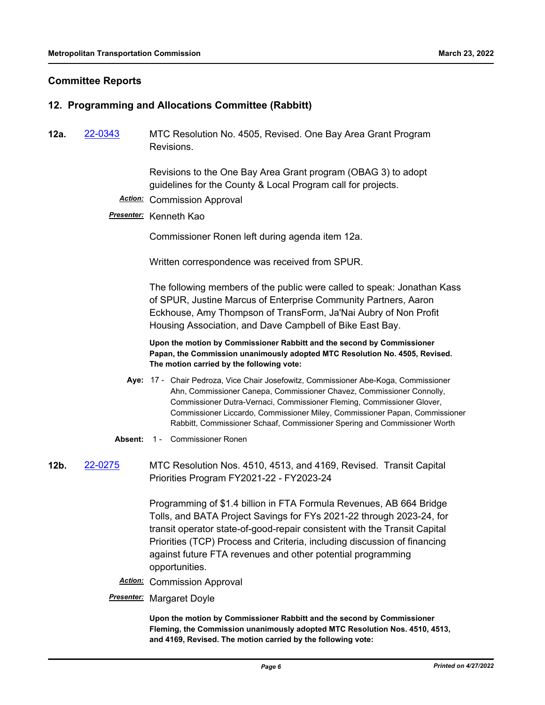## **Committee Reports**

## **12. Programming and Allocations Committee (Rabbitt)**

**12a.** [22-0343](http://mtc.legistar.com/gateway.aspx?m=l&id=/matter.aspx?key=23602) MTC Resolution No. 4505, Revised. One Bay Area Grant Program Revisions.

> Revisions to the One Bay Area Grant program (OBAG 3) to adopt guidelines for the County & Local Program call for projects.

- *Action:* Commission Approval
- *Presenter:* Kenneth Kao

Commissioner Ronen left during agenda item 12a.

Written correspondence was received from SPUR.

The following members of the public were called to speak: Jonathan Kass of SPUR, Justine Marcus of Enterprise Community Partners, Aaron Eckhouse, Amy Thompson of TransForm, Ja'Nai Aubry of Non Profit Housing Association, and Dave Campbell of Bike East Bay.

**Upon the motion by Commissioner Rabbitt and the second by Commissioner Papan, the Commission unanimously adopted MTC Resolution No. 4505, Revised. The motion carried by the following vote:**

- Aye: 17 Chair Pedroza, Vice Chair Josefowitz, Commissioner Abe-Koga, Commissioner Ahn, Commissioner Canepa, Commissioner Chavez, Commissioner Connolly, Commissioner Dutra-Vernaci, Commissioner Fleming, Commissioner Glover, Commissioner Liccardo, Commissioner Miley, Commissioner Papan, Commissioner Rabbitt, Commissioner Schaaf, Commissioner Spering and Commissioner Worth
- **Absent:** 1 Commissioner Ronen

**12b.** [22-0275](http://mtc.legistar.com/gateway.aspx?m=l&id=/matter.aspx?key=23534) MTC Resolution Nos. 4510, 4513, and 4169, Revised. Transit Capital Priorities Program FY2021-22 - FY2023-24

> Programming of \$1.4 billion in FTA Formula Revenues, AB 664 Bridge Tolls, and BATA Project Savings for FYs 2021-22 through 2023-24, for transit operator state-of-good-repair consistent with the Transit Capital Priorities (TCP) Process and Criteria, including discussion of financing against future FTA revenues and other potential programming opportunities.

- *Action:* Commission Approval
- *Presenter:* Margaret Doyle

**Upon the motion by Commissioner Rabbitt and the second by Commissioner Fleming, the Commission unanimously adopted MTC Resolution Nos. 4510, 4513, and 4169, Revised. The motion carried by the following vote:**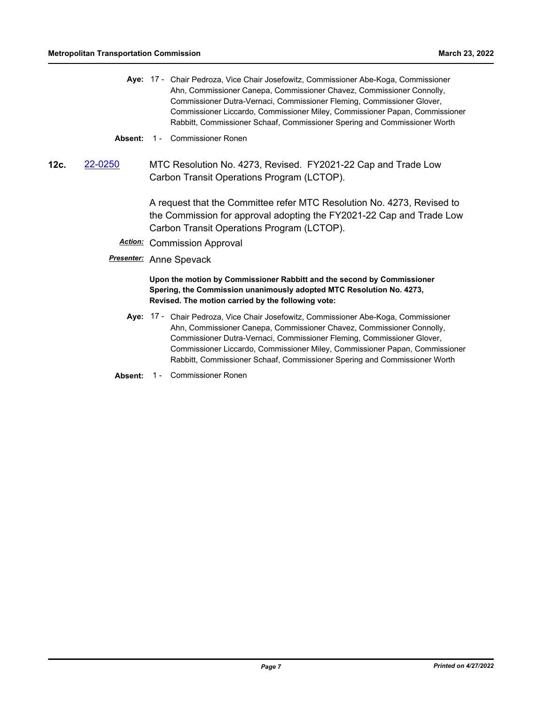Aye: 17 - Chair Pedroza, Vice Chair Josefowitz, Commissioner Abe-Koga, Commissioner Ahn, Commissioner Canepa, Commissioner Chavez, Commissioner Connolly, Commissioner Dutra-Vernaci, Commissioner Fleming, Commissioner Glover, Commissioner Liccardo, Commissioner Miley, Commissioner Papan, Commissioner Rabbitt, Commissioner Schaaf, Commissioner Spering and Commissioner Worth

**Absent:** 1 - Commissioner Ronen

**12c.** [22-0250](http://mtc.legistar.com/gateway.aspx?m=l&id=/matter.aspx?key=23509) MTC Resolution No. 4273, Revised. FY2021-22 Cap and Trade Low Carbon Transit Operations Program (LCTOP).

> A request that the Committee refer MTC Resolution No. 4273, Revised to the Commission for approval adopting the FY2021-22 Cap and Trade Low Carbon Transit Operations Program (LCTOP).

- *Action:* Commission Approval
- *Presenter:* Anne Spevack

**Upon the motion by Commissioner Rabbitt and the second by Commissioner Spering, the Commission unanimously adopted MTC Resolution No. 4273, Revised. The motion carried by the following vote:**

- Aye: 17 Chair Pedroza, Vice Chair Josefowitz, Commissioner Abe-Koga, Commissioner Ahn, Commissioner Canepa, Commissioner Chavez, Commissioner Connolly, Commissioner Dutra-Vernaci, Commissioner Fleming, Commissioner Glover, Commissioner Liccardo, Commissioner Miley, Commissioner Papan, Commissioner Rabbitt, Commissioner Schaaf, Commissioner Spering and Commissioner Worth
- **Absent:** 1 Commissioner Ronen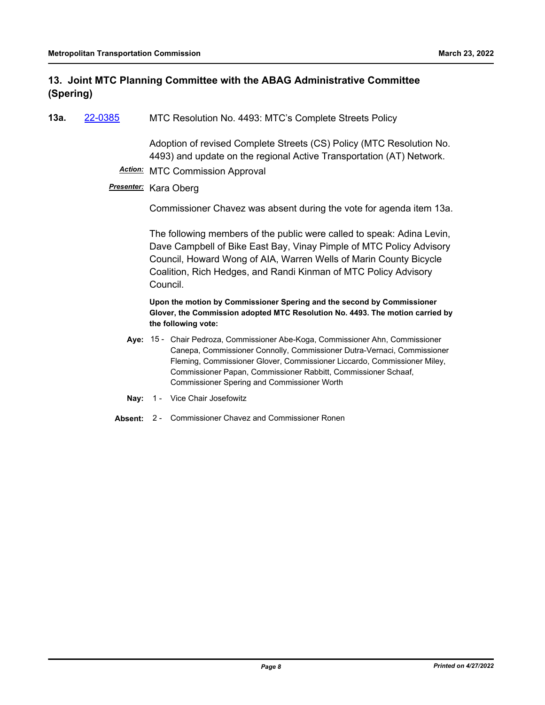# **13. Joint MTC Planning Committee with the ABAG Administrative Committee (Spering)**

**13a.** [22-0385](http://mtc.legistar.com/gateway.aspx?m=l&id=/matter.aspx?key=23644) MTC Resolution No. 4493: MTC's Complete Streets Policy

Adoption of revised Complete Streets (CS) Policy (MTC Resolution No. 4493) and update on the regional Active Transportation (AT) Network.

*Action:* MTC Commission Approval

# *Presenter:* Kara Oberg

Commissioner Chavez was absent during the vote for agenda item 13a.

The following members of the public were called to speak: Adina Levin, Dave Campbell of Bike East Bay, Vinay Pimple of MTC Policy Advisory Council, Howard Wong of AIA, Warren Wells of Marin County Bicycle Coalition, Rich Hedges, and Randi Kinman of MTC Policy Advisory Council.

**Upon the motion by Commissioner Spering and the second by Commissioner Glover, the Commission adopted MTC Resolution No. 4493. The motion carried by the following vote:**

- Aye: 15 Chair Pedroza, Commissioner Abe-Koga, Commissioner Ahn, Commissioner Canepa, Commissioner Connolly, Commissioner Dutra-Vernaci, Commissioner Fleming, Commissioner Glover, Commissioner Liccardo, Commissioner Miley, Commissioner Papan, Commissioner Rabbitt, Commissioner Schaaf, Commissioner Spering and Commissioner Worth
- **Nay:** 1 Vice Chair Josefowitz
- **Absent:** 2 Commissioner Chavez and Commissioner Ronen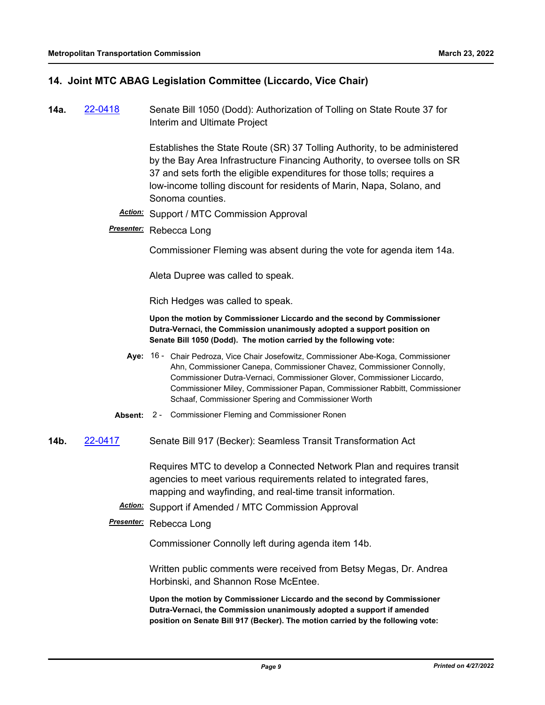# **14. Joint MTC ABAG Legislation Committee (Liccardo, Vice Chair)**

**14a.** [22-0418](http://mtc.legistar.com/gateway.aspx?m=l&id=/matter.aspx?key=23677) Senate Bill 1050 (Dodd): Authorization of Tolling on State Route 37 for Interim and Ultimate Project

> Establishes the State Route (SR) 37 Tolling Authority, to be administered by the Bay Area Infrastructure Financing Authority, to oversee tolls on SR 37 and sets forth the eligible expenditures for those tolls; requires a low-income tolling discount for residents of Marin, Napa, Solano, and Sonoma counties.

- *Action:* Support / MTC Commission Approval
- *Presenter:* Rebecca Long

Commissioner Fleming was absent during the vote for agenda item 14a.

Aleta Dupree was called to speak.

Rich Hedges was called to speak.

**Upon the motion by Commissioner Liccardo and the second by Commissioner Dutra-Vernaci, the Commission unanimously adopted a support position on Senate Bill 1050 (Dodd). The motion carried by the following vote:**

- Aye: 16 Chair Pedroza, Vice Chair Josefowitz, Commissioner Abe-Koga, Commissioner Ahn, Commissioner Canepa, Commissioner Chavez, Commissioner Connolly, Commissioner Dutra-Vernaci, Commissioner Glover, Commissioner Liccardo, Commissioner Miley, Commissioner Papan, Commissioner Rabbitt, Commissioner Schaaf, Commissioner Spering and Commissioner Worth
- **Absent:** 2 Commissioner Fleming and Commissioner Ronen
- **14b.** [22-0417](http://mtc.legistar.com/gateway.aspx?m=l&id=/matter.aspx?key=23676) Senate Bill 917 (Becker): Seamless Transit Transformation Act

Requires MTC to develop a Connected Network Plan and requires transit agencies to meet various requirements related to integrated fares, mapping and wayfinding, and real-time transit information.

*Action:* Support if Amended / MTC Commission Approval

# *Presenter:* Rebecca Long

Commissioner Connolly left during agenda item 14b.

Written public comments were received from Betsy Megas, Dr. Andrea Horbinski, and Shannon Rose McEntee.

**Upon the motion by Commissioner Liccardo and the second by Commissioner Dutra-Vernaci, the Commission unanimously adopted a support if amended position on Senate Bill 917 (Becker). The motion carried by the following vote:**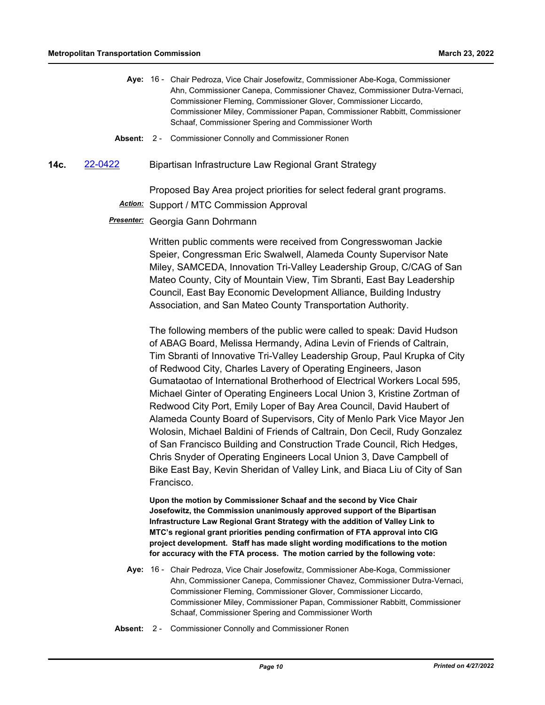|  | Aye: 16 - Chair Pedroza, Vice Chair Josefowitz, Commissioner Abe-Koga, Commissioner |
|--|-------------------------------------------------------------------------------------|
|  | Ahn, Commissioner Canepa, Commissioner Chavez, Commissioner Dutra-Vernaci,          |
|  | Commissioner Fleming, Commissioner Glover, Commissioner Liccardo,                   |
|  | Commissioner Miley, Commissioner Papan, Commissioner Rabbitt, Commissioner          |
|  | Schaaf, Commissioner Spering and Commissioner Worth                                 |

**Absent:** 2 - Commissioner Connolly and Commissioner Ronen

**14c.** [22-0422](http://mtc.legistar.com/gateway.aspx?m=l&id=/matter.aspx?key=23681) Bipartisan Infrastructure Law Regional Grant Strategy

Proposed Bay Area project priorities for select federal grant programs. *Action:* Support / MTC Commission Approval

*Presenter:* Georgia Gann Dohrmann

Written public comments were received from Congresswoman Jackie Speier, Congressman Eric Swalwell, Alameda County Supervisor Nate Miley, SAMCEDA, Innovation Tri-Valley Leadership Group, C/CAG of San Mateo County, City of Mountain View, Tim Sbranti, East Bay Leadership Council, East Bay Economic Development Alliance, Building Industry Association, and San Mateo County Transportation Authority.

The following members of the public were called to speak: David Hudson of ABAG Board, Melissa Hermandy, Adina Levin of Friends of Caltrain, Tim Sbranti of Innovative Tri-Valley Leadership Group, Paul Krupka of City of Redwood City, Charles Lavery of Operating Engineers, Jason Gumataotao of International Brotherhood of Electrical Workers Local 595, Michael Ginter of Operating Engineers Local Union 3, Kristine Zortman of Redwood City Port, Emily Loper of Bay Area Council, David Haubert of Alameda County Board of Supervisors, City of Menlo Park Vice Mayor Jen Wolosin, Michael Baldini of Friends of Caltrain, Don Cecil, Rudy Gonzalez of San Francisco Building and Construction Trade Council, Rich Hedges, Chris Snyder of Operating Engineers Local Union 3, Dave Campbell of Bike East Bay, Kevin Sheridan of Valley Link, and Biaca Liu of City of San Francisco.

**Upon the motion by Commissioner Schaaf and the second by Vice Chair Josefowitz, the Commission unanimously approved support of the Bipartisan Infrastructure Law Regional Grant Strategy with the addition of Valley Link to MTC's regional grant priorities pending confirmation of FTA approval into CIG project development. Staff has made slight wording modifications to the motion for accuracy with the FTA process. The motion carried by the following vote:**

- Aye: 16 Chair Pedroza, Vice Chair Josefowitz, Commissioner Abe-Koga, Commissioner Ahn, Commissioner Canepa, Commissioner Chavez, Commissioner Dutra-Vernaci, Commissioner Fleming, Commissioner Glover, Commissioner Liccardo, Commissioner Miley, Commissioner Papan, Commissioner Rabbitt, Commissioner Schaaf, Commissioner Spering and Commissioner Worth
- **Absent:** 2 Commissioner Connolly and Commissioner Ronen